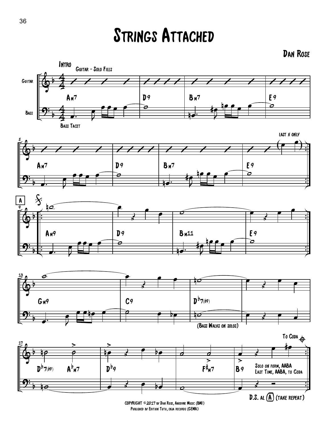## Strings Attached

## Dan Rose











COPYRIGHT ©2017 by Dan Rose, Anodyne Music (BMI) Published by Edition Tutu, enja records (GEMA)